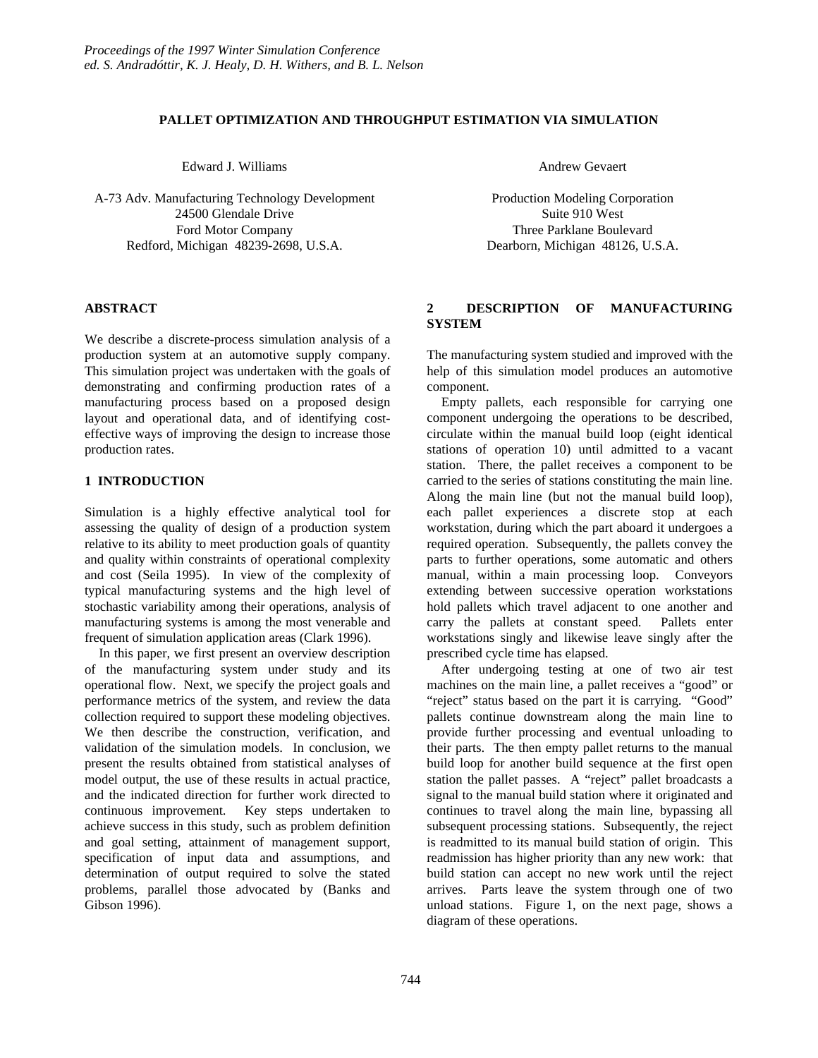#### **PALLET OPTIMIZATION AND THROUGHPUT ESTIMATION VIA SIMULATION**

Edward J. Williams

A-73 Adv. Manufacturing Technology Development 24500 Glendale Drive Ford Motor Company Redford, Michigan 48239-2698, U.S.A.

## **ABSTRACT**

We describe a discrete-process simulation analysis of a production system at an automotive supply company. This simulation project was undertaken with the goals of demonstrating and confirming production rates of a manufacturing process based on a proposed design layout and operational data, and of identifying costeffective ways of improving the design to increase those production rates.

## **1 INTRODUCTION**

Simulation is a highly effective analytical tool for assessing the quality of design of a production system relative to its ability to meet production goals of quantity and quality within constraints of operational complexity and cost (Seila 1995). In view of the complexity of typical manufacturing systems and the high level of stochastic variability among their operations, analysis of manufacturing systems is among the most venerable and frequent of simulation application areas (Clark 1996).

In this paper, we first present an overview description of the manufacturing system under study and its operational flow. Next, we specify the project goals and performance metrics of the system, and review the data collection required to support these modeling objectives. We then describe the construction, verification, and validation of the simulation models. In conclusion, we present the results obtained from statistical analyses of model output, the use of these results in actual practice, and the indicated direction for further work directed to continuous improvement. Key steps undertaken to achieve success in this study, such as problem definition and goal setting, attainment of management support, specification of input data and assumptions, and determination of output required to solve the stated problems, parallel those advocated by (Banks and Gibson 1996).

Andrew Gevaert

Production Modeling Corporation Suite 910 West Three Parklane Boulevard Dearborn, Michigan 48126, U.S.A.

## **2 DESCRIPTION OF MANUFACTURING SYSTEM**

The manufacturing system studied and improved with the help of this simulation model produces an automotive component.

Empty pallets, each responsible for carrying one component undergoing the operations to be described, circulate within the manual build loop (eight identical stations of operation 10) until admitted to a vacant station. There, the pallet receives a component to be carried to the series of stations constituting the main line. Along the main line (but not the manual build loop), each pallet experiences a discrete stop at each workstation, during which the part aboard it undergoes a required operation. Subsequently, the pallets convey the parts to further operations, some automatic and others manual, within a main processing loop. Conveyors extending between successive operation workstations hold pallets which travel adjacent to one another and carry the pallets at constant speed. Pallets enter workstations singly and likewise leave singly after the prescribed cycle time has elapsed.

After undergoing testing at one of two air test machines on the main line, a pallet receives a "good" or "reject" status based on the part it is carrying. "Good" pallets continue downstream along the main line to provide further processing and eventual unloading to their parts. The then empty pallet returns to the manual build loop for another build sequence at the first open station the pallet passes. A "reject" pallet broadcasts a signal to the manual build station where it originated and continues to travel along the main line, bypassing all subsequent processing stations. Subsequently, the reject is readmitted to its manual build station of origin. This readmission has higher priority than any new work: that build station can accept no new work until the reject arrives. Parts leave the system through one of two unload stations. Figure 1, on the next page, shows a diagram of these operations.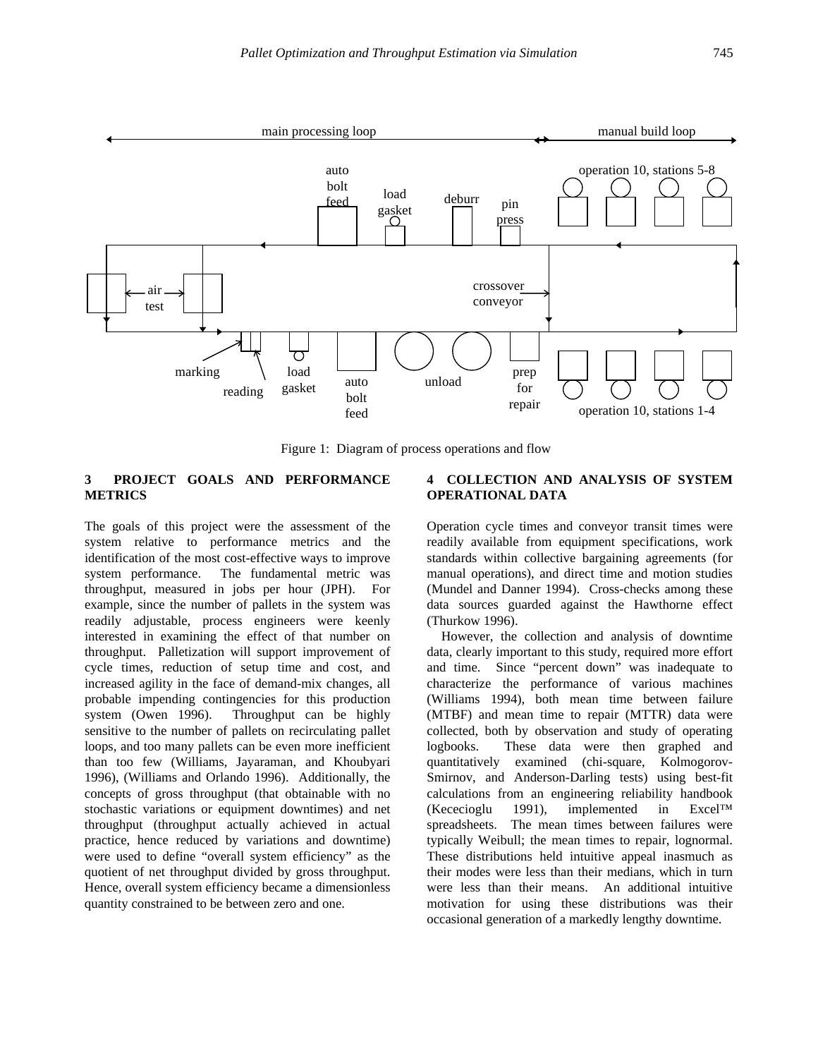

Figure 1: Diagram of process operations and flow

## **3 PROJECT GOALS AND PERFORMANCE METRICS**

The goals of this project were the assessment of the system relative to performance metrics and the identification of the most cost-effective ways to improve system performance. The fundamental metric was throughput, measured in jobs per hour (JPH). For example, since the number of pallets in the system was readily adjustable, process engineers were keenly interested in examining the effect of that number on throughput. Palletization will support improvement of cycle times, reduction of setup time and cost, and increased agility in the face of demand-mix changes, all probable impending contingencies for this production system (Owen 1996). Throughput can be highly sensitive to the number of pallets on recirculating pallet loops, and too many pallets can be even more inefficient than too few (Williams, Jayaraman, and Khoubyari 1996), (Williams and Orlando 1996). Additionally, the concepts of gross throughput (that obtainable with no stochastic variations or equipment downtimes) and net throughput (throughput actually achieved in actual practice, hence reduced by variations and downtime) were used to define "overall system efficiency" as the quotient of net throughput divided by gross throughput. Hence, overall system efficiency became a dimensionless quantity constrained to be between zero and one.

## **4 COLLECTION AND ANALYSIS OF SYSTEM OPERATIONAL DATA**

Operation cycle times and conveyor transit times were readily available from equipment specifications, work standards within collective bargaining agreements (for manual operations), and direct time and motion studies (Mundel and Danner 1994). Cross-checks among these data sources guarded against the Hawthorne effect (Thurkow 1996).

However, the collection and analysis of downtime data, clearly important to this study, required more effort and time. Since "percent down" was inadequate to characterize the performance of various machines (Williams 1994), both mean time between failure (MTBF) and mean time to repair (MTTR) data were collected, both by observation and study of operating logbooks. These data were then graphed and quantitatively examined (chi-square, Kolmogorov-Smirnov, and Anderson-Darling tests) using best-fit calculations from an engineering reliability handbook (Kececioglu 1991), implemented in Excel™ spreadsheets. The mean times between failures were typically Weibull; the mean times to repair, lognormal. These distributions held intuitive appeal inasmuch as their modes were less than their medians, which in turn were less than their means. An additional intuitive motivation for using these distributions was their occasional generation of a markedly lengthy downtime.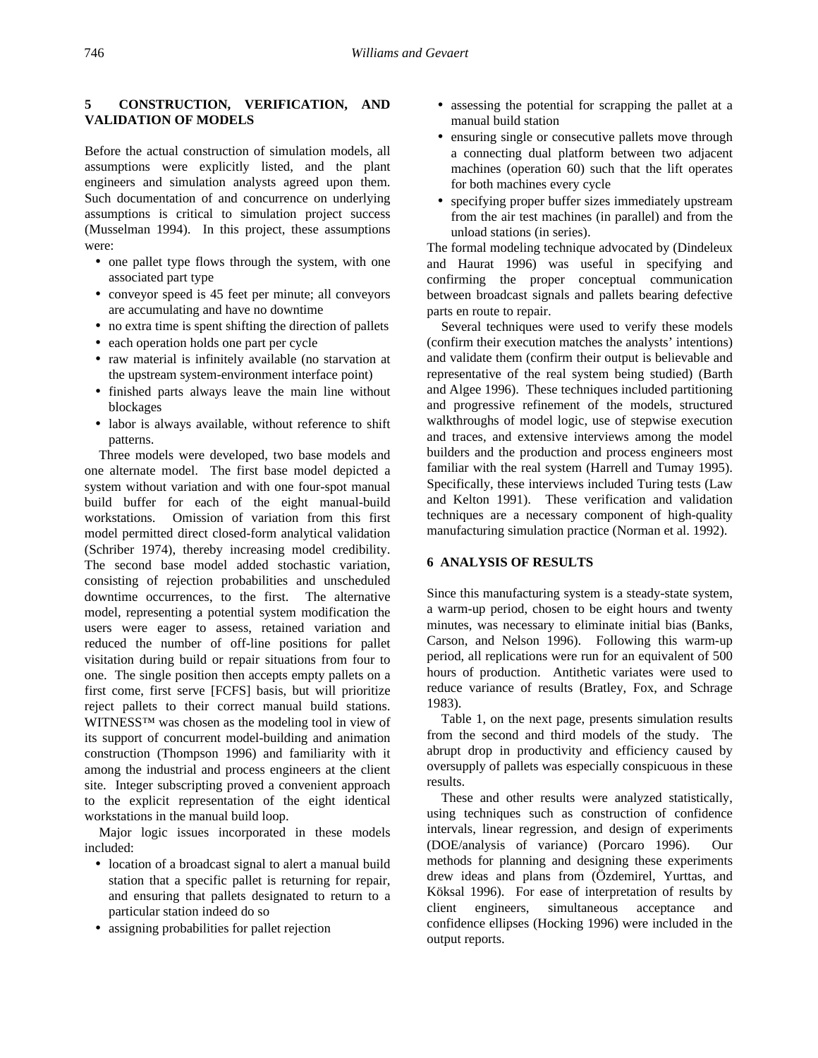# **5 CONSTRUCTION, VERIFICATION, AND VALIDATION OF MODELS**

Before the actual construction of simulation models, all assumptions were explicitly listed, and the plant engineers and simulation analysts agreed upon them. Such documentation of and concurrence on underlying assumptions is critical to simulation project success (Musselman 1994). In this project, these assumptions were:

- one pallet type flows through the system, with one associated part type
- conveyor speed is 45 feet per minute; all conveyors are accumulating and have no downtime
- no extra time is spent shifting the direction of pallets
- each operation holds one part per cycle
- raw material is infinitely available (no starvation at the upstream system-environment interface point)
- finished parts always leave the main line without blockages
- labor is always available, without reference to shift patterns.

Three models were developed, two base models and one alternate model. The first base model depicted a system without variation and with one four-spot manual build buffer for each of the eight manual-build workstations. Omission of variation from this first model permitted direct closed-form analytical validation (Schriber 1974), thereby increasing model credibility. The second base model added stochastic variation, consisting of rejection probabilities and unscheduled downtime occurrences, to the first. The alternative model, representing a potential system modification the users were eager to assess, retained variation and reduced the number of off-line positions for pallet visitation during build or repair situations from four to one. The single position then accepts empty pallets on a first come, first serve [FCFS] basis, but will prioritize reject pallets to their correct manual build stations. WITNESS™ was chosen as the modeling tool in view of its support of concurrent model-building and animation construction (Thompson 1996) and familiarity with it among the industrial and process engineers at the client site. Integer subscripting proved a convenient approach to the explicit representation of the eight identical workstations in the manual build loop.

Major logic issues incorporated in these models included:

- location of a broadcast signal to alert a manual build station that a specific pallet is returning for repair, and ensuring that pallets designated to return to a particular station indeed do so
- assigning probabilities for pallet rejection
- assessing the potential for scrapping the pallet at a manual build station
- ensuring single or consecutive pallets move through a connecting dual platform between two adjacent machines (operation 60) such that the lift operates for both machines every cycle
- specifying proper buffer sizes immediately upstream from the air test machines (in parallel) and from the unload stations (in series).

The formal modeling technique advocated by (Dindeleux and Haurat 1996) was useful in specifying and confirming the proper conceptual communication between broadcast signals and pallets bearing defective parts en route to repair.

Several techniques were used to verify these models (confirm their execution matches the analysts' intentions) and validate them (confirm their output is believable and representative of the real system being studied) (Barth and Algee 1996). These techniques included partitioning and progressive refinement of the models, structured walkthroughs of model logic, use of stepwise execution and traces, and extensive interviews among the model builders and the production and process engineers most familiar with the real system (Harrell and Tumay 1995). Specifically, these interviews included Turing tests (Law and Kelton 1991). These verification and validation techniques are a necessary component of high-quality manufacturing simulation practice (Norman et al. 1992).

## **6 ANALYSIS OF RESULTS**

Since this manufacturing system is a steady-state system, a warm-up period, chosen to be eight hours and twenty minutes, was necessary to eliminate initial bias (Banks, Carson, and Nelson 1996). Following this warm-up period, all replications were run for an equivalent of 500 hours of production. Antithetic variates were used to reduce variance of results (Bratley, Fox, and Schrage 1983).

Table 1, on the next page, presents simulation results from the second and third models of the study. The abrupt drop in productivity and efficiency caused by oversupply of pallets was especially conspicuous in these results.

These and other results were analyzed statistically, using techniques such as construction of confidence intervals, linear regression, and design of experiments (DOE/analysis of variance) (Porcaro 1996). Our methods for planning and designing these experiments drew ideas and plans from (Özdemirel, Yurttas, and Köksal 1996). For ease of interpretation of results by client engineers, simultaneous acceptance and confidence ellipses (Hocking 1996) were included in the output reports.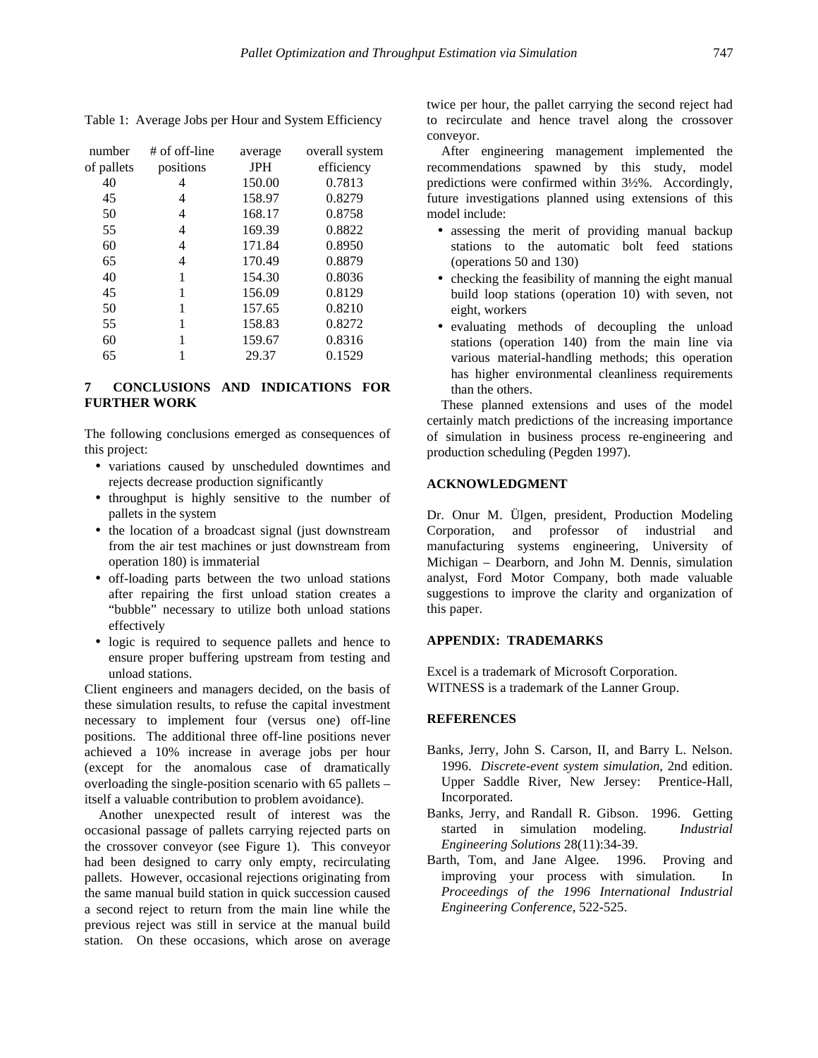| number     | # of off-line | average    | overall system |
|------------|---------------|------------|----------------|
| of pallets | positions     | <b>JPH</b> | efficiency     |
| 40         | 4             | 150.00     | 0.7813         |
| 45         | 4             | 158.97     | 0.8279         |
| 50         | 4             | 168.17     | 0.8758         |
| 55         | 4             | 169.39     | 0.8822         |
| 60         | 4             | 171.84     | 0.8950         |
| 65         | 4             | 170.49     | 0.8879         |
| 40         | 1             | 154.30     | 0.8036         |
| 45         |               | 156.09     | 0.8129         |
| 50         | 1             | 157.65     | 0.8210         |
| 55         |               | 158.83     | 0.8272         |
| 60         |               | 159.67     | 0.8316         |
| 65         |               | 29.37      | 0.1529         |

Table 1: Average Jobs per Hour and System Efficiency

## **7 CONCLUSIONS AND INDICATIONS FOR FURTHER WORK**

The following conclusions emerged as consequences of this project:

- variations caused by unscheduled downtimes and rejects decrease production significantly
- throughput is highly sensitive to the number of pallets in the system
- the location of a broadcast signal (just downstream from the air test machines or just downstream from operation 180) is immaterial
- off-loading parts between the two unload stations after repairing the first unload station creates a "bubble" necessary to utilize both unload stations effectively
- logic is required to sequence pallets and hence to ensure proper buffering upstream from testing and unload stations.

Client engineers and managers decided, on the basis of these simulation results, to refuse the capital investment necessary to implement four (versus one) off-line positions. The additional three off-line positions never achieved a 10% increase in average jobs per hour (except for the anomalous case of dramatically overloading the single-position scenario with 65 pallets – itself a valuable contribution to problem avoidance).

Another unexpected result of interest was the occasional passage of pallets carrying rejected parts on the crossover conveyor (see Figure 1). This conveyor had been designed to carry only empty, recirculating pallets. However, occasional rejections originating from the same manual build station in quick succession caused a second reject to return from the main line while the previous reject was still in service at the manual build station. On these occasions, which arose on average

twice per hour, the pallet carrying the second reject had to recirculate and hence travel along the crossover conveyor.

After engineering management implemented the recommendations spawned by this study, model predictions were confirmed within 3½%. Accordingly, future investigations planned using extensions of this model include:

- assessing the merit of providing manual backup stations to the automatic bolt feed stations (operations 50 and 130)
- checking the feasibility of manning the eight manual build loop stations (operation 10) with seven, not eight, workers
- evaluating methods of decoupling the unload stations (operation 140) from the main line via various material-handling methods; this operation has higher environmental cleanliness requirements than the others.

These planned extensions and uses of the model certainly match predictions of the increasing importance of simulation in business process re-engineering and production scheduling (Pegden 1997).

## **ACKNOWLEDGMENT**

Dr. Onur M. Ülgen, president, Production Modeling Corporation, and professor of industrial and manufacturing systems engineering, University of Michigan – Dearborn, and John M. Dennis, simulation analyst, Ford Motor Company, both made valuable suggestions to improve the clarity and organization of this paper.

## **APPENDIX: TRADEMARKS**

Excel is a trademark of Microsoft Corporation. WITNESS is a trademark of the Lanner Group.

#### **REFERENCES**

- Banks, Jerry, John S. Carson, II, and Barry L. Nelson. 1996. *Discrete-event system simulation*, 2nd edition. Upper Saddle River, New Jersey: Prentice-Hall, Incorporated.
- Banks, Jerry, and Randall R. Gibson. 1996. Getting started in simulation modeling. *Industrial Engineering Solutions* 28(11):34-39.
- Barth, Tom, and Jane Algee. 1996. Proving and improving your process with simulation. In *Proceedings of the 1996 International Industrial Engineering Conference*, 522-525.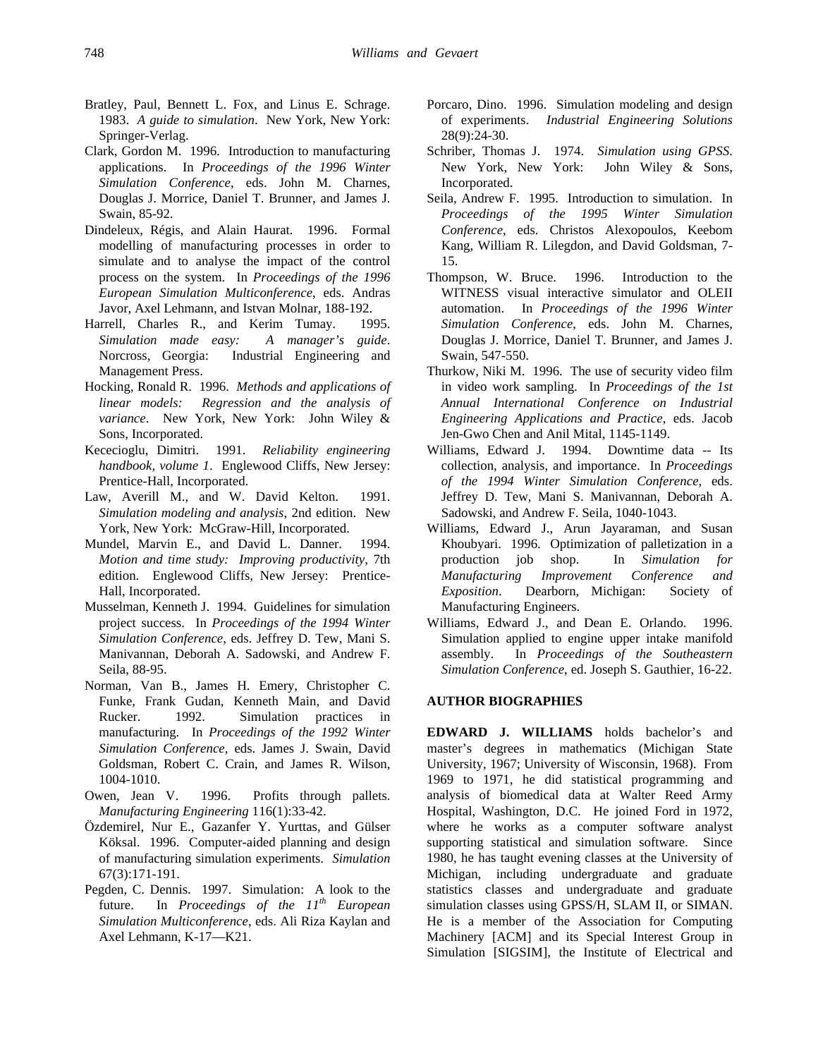- Bratley, Paul, Bennett L. Fox, and Linus E. Schrage. 1983. *A guide to simulation*. New York, New York: Springer-Verlag.
- Clark, Gordon M. 1996. Introduction to manufacturing applications. In *Proceedings of the 1996 Winter Simulation Conference*, eds. John M. Charnes, Douglas J. Morrice, Daniel T. Brunner, and James J. Swain, 85-92.
- Dindeleux, Régis, and Alain Haurat. 1996. Formal modelling of manufacturing processes in order to simulate and to analyse the impact of the control process on the system. In *Proceedings of the 1996 European Simulation Multiconference*, eds. Andras Javor, Axel Lehmann, and Istvan Molnar, 188-192.
- Harrell, Charles R., and Kerim Tumay. 1995. *Simulation made easy: A manager's guide*. Norcross, Georgia: Industrial Engineering and Management Press.
- Hocking, Ronald R. 1996. *Methods and applications of linear models: Regression and the analysis of variance*. New York, New York: John Wiley & Sons, Incorporated.
- Kececioglu, Dimitri. 1991. *Reliability engineering handbook, volume 1*. Englewood Cliffs, New Jersey: Prentice-Hall, Incorporated.
- Law, Averill M., and W. David Kelton. 1991. *Simulation modeling and analysis*, 2nd edition. New York, New York: McGraw-Hill, Incorporated.
- Mundel, Marvin E., and David L. Danner. 1994. *Motion and time study: Improving productivity*, 7th edition. Englewood Cliffs, New Jersey: Prentice-Hall, Incorporated.
- Musselman, Kenneth J. 1994. Guidelines for simulation project success. In *Proceedings of the 1994 Winter Simulation Conference*, eds. Jeffrey D. Tew, Mani S. Manivannan, Deborah A. Sadowski, and Andrew F. Seila, 88-95.
- Norman, Van B., James H. Emery, Christopher C. Funke, Frank Gudan, Kenneth Main, and David Rucker. 1992. Simulation practices in manufacturing. In *Proceedings of the 1992 Winter Simulation Conference*, eds. James J. Swain, David Goldsman, Robert C. Crain, and James R. Wilson, 1004-1010.
- Owen, Jean V. 1996. Profits through pallets. *Manufacturing Engineering* 116(1):33-42.
- Özdemirel, Nur E., Gazanfer Y. Yurttas, and Gülser Köksal. 1996. Computer-aided planning and design of manufacturing simulation experiments. *Simulation* 67(3):171-191.
- Pegden, C. Dennis. 1997. Simulation: A look to the future. In *Proceedings of the 11th European Simulation Multiconference*, eds. Ali Riza Kaylan and Axel Lehmann, K-17—K21.
- Porcaro, Dino. 1996. Simulation modeling and design of experiments. *Industrial Engineering Solutions* 28(9):24-30.
- Schriber, Thomas J. 1974. *Simulation using GPSS*. New York, New York: John Wiley & Sons, Incorporated.
- Seila, Andrew F. 1995. Introduction to simulation. In *Proceedings of the 1995 Winter Simulation Conference*, eds. Christos Alexopoulos, Keebom Kang, William R. Lilegdon, and David Goldsman, 7- 15.
- Thompson, W. Bruce. 1996. Introduction to the WITNESS visual interactive simulator and OLEII automation. In *Proceedings of the 1996 Winter Simulation Conference*, eds. John M. Charnes, Douglas J. Morrice, Daniel T. Brunner, and James J. Swain, 547-550.
- Thurkow, Niki M. 1996. The use of security video film in video work sampling. In *Proceedings of the 1st Annual International Conference on Industrial Engineering Applications and Practice*, eds. Jacob Jen-Gwo Chen and Anil Mital, 1145-1149.
- Williams, Edward J. 1994. Downtime data -- Its collection, analysis, and importance. In *Proceedings of the 1994 Winter Simulation Conference*, eds. Jeffrey D. Tew, Mani S. Manivannan, Deborah A. Sadowski, and Andrew F. Seila, 1040-1043.
- Williams, Edward J., Arun Jayaraman, and Susan Khoubyari. 1996. Optimization of palletization in a production job shop. In *Simulation for Manufacturing Improvement Conference and Exposition*. Dearborn, Michigan: Society of Manufacturing Engineers.
- Williams, Edward J., and Dean E. Orlando. 1996. Simulation applied to engine upper intake manifold assembly. In *Proceedings of the Southeastern Simulation Conference*, ed. Joseph S. Gauthier, 16-22.

#### **AUTHOR BIOGRAPHIES**

**EDWARD J. WILLIAMS** holds bachelor's and master's degrees in mathematics (Michigan State University, 1967; University of Wisconsin, 1968). From 1969 to 1971, he did statistical programming and analysis of biomedical data at Walter Reed Army Hospital, Washington, D.C. He joined Ford in 1972, where he works as a computer software analyst supporting statistical and simulation software. Since 1980, he has taught evening classes at the University of Michigan, including undergraduate and graduate statistics classes and undergraduate and graduate simulation classes using GPSS/H, SLAM II, or SIMAN. He is a member of the Association for Computing Machinery [ACM] and its Special Interest Group in Simulation [SIGSIM], the Institute of Electrical and